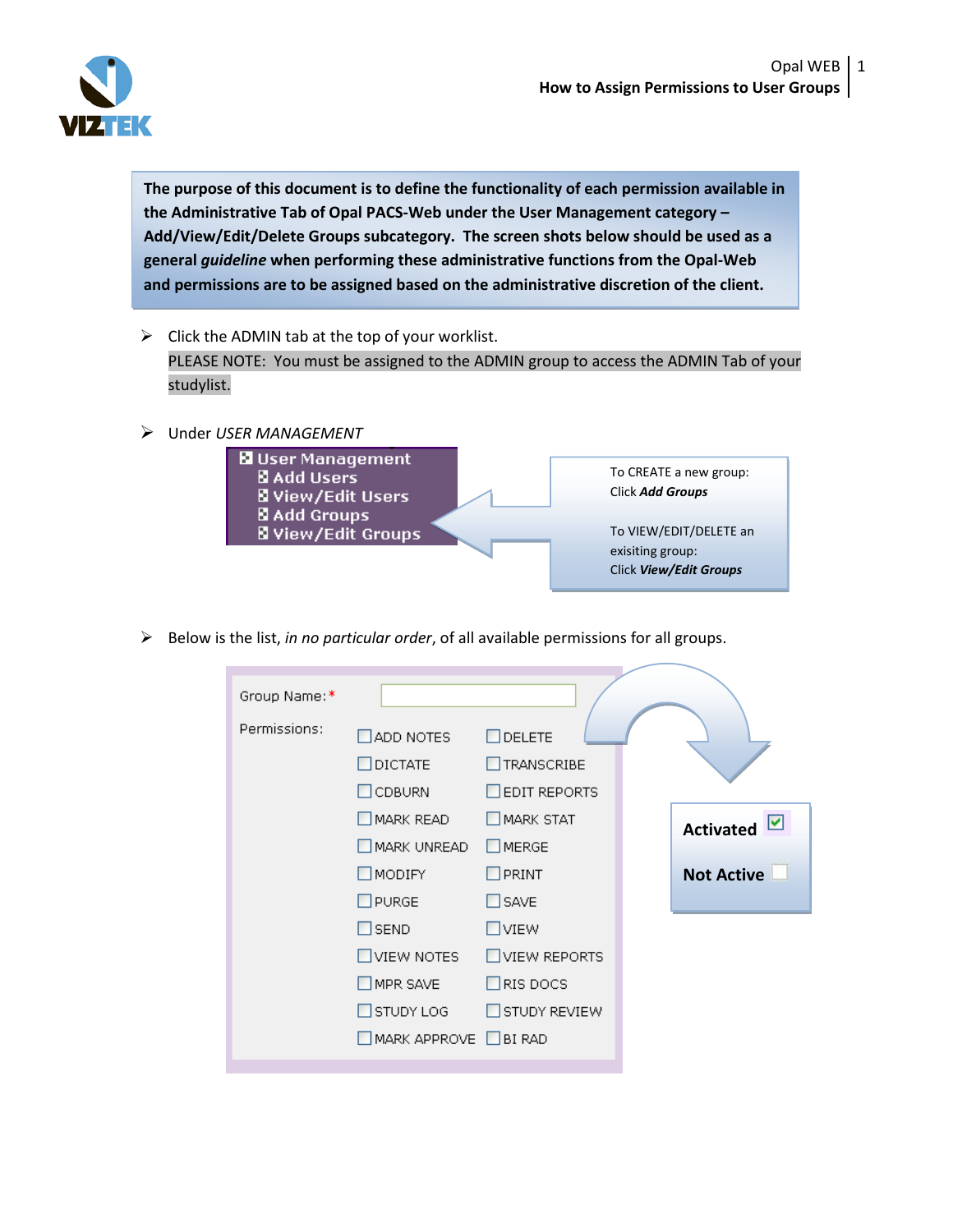

**The purpose of this document is to define the functionality of each permission available in the Administrative Tab of Opal PACS-Web under the User Management category – Add/View/Edit/Delete Groups subcategory. The screen shots below should be used as a general** *guideline* **when performing these administrative functions from the Opal-Web and permissions are to be assigned based on the administrative discretion of the client.** 

- $\triangleright$  Click the ADMIN tab at the top of your worklist. PLEASE NOTE: You must be assigned to the ADMIN group to access the ADMIN Tab of your studylist.
- Under *USER MANAGEMENT*



Below is the list, *in no particular order*, of all available permissions for all groups.

| Group Name:* |                       |                     |                       |
|--------------|-----------------------|---------------------|-----------------------|
| Permissions: | $\Box$ ADD NOTES      | $\Box$ DELETE       |                       |
|              | DICTATE               | TRANSCRIBE          |                       |
|              | $\Box$ CDBURN         | $\Box$ EDIT REPORTS |                       |
|              | MARK READ             | MARK STAT           | ☑<br><b>Activated</b> |
|              | MARK UNREAD           | $\square$ MERGE     |                       |
|              | $\square$ MODIFY      | $\Box$ PRINT        | <b>Not Active</b>     |
|              | PURGE                 | <b>N</b> SAVE       |                       |
|              | $\Box$ SEND           | $\Box$ VIEW         |                       |
|              | $\square$ VIEW NOTES  | <b>NIEW REPORTS</b> |                       |
|              | MPR SAVE              | $\Box$ RIS DOCS     |                       |
|              | $\Box$ STUDY LOG      | STUDY REVIEW        |                       |
|              | MARK APPROVE □ BI RAD |                     |                       |
|              |                       |                     |                       |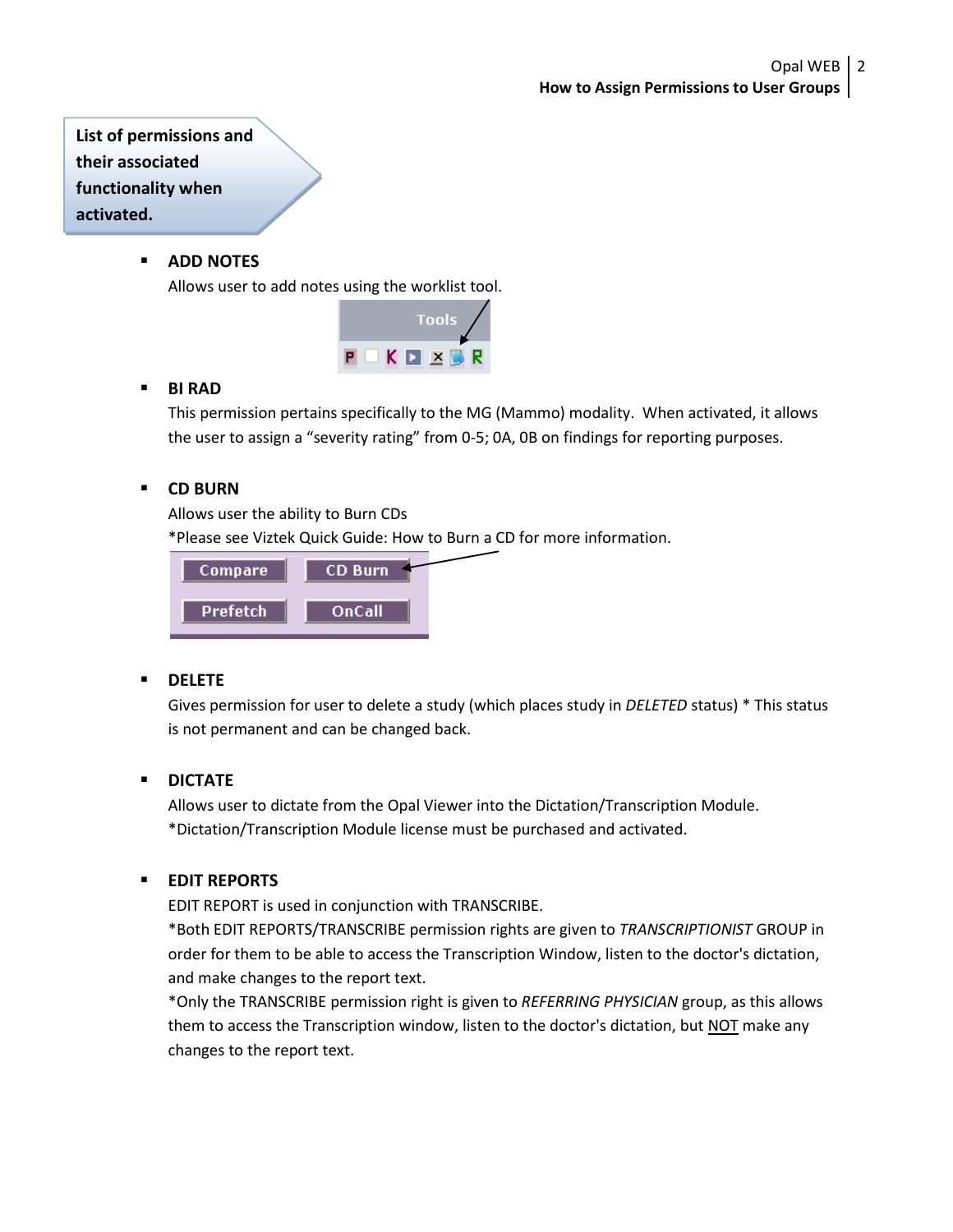**List of permissions and their associated functionality when activated.**

## **ADD NOTES**

Allows user to add notes using the worklist tool.



## **BI RAD**

This permission pertains specifically to the MG (Mammo) modality. When activated, it allows the user to assign a "severity rating" from 0-5; 0A, 0B on findings for reporting purposes.

## **CD BURN**

Allows user the ability to Burn CDs

\*Please see Viztek Quick Guide: How to Burn a CD for more information.



## **DELETE**

Gives permission for user to delete a study (which places study in *DELETED* status) \* This status is not permanent and can be changed back.

## **DICTATE**

Allows user to dictate from the Opal Viewer into the Dictation/Transcription Module. \*Dictation/Transcription Module license must be purchased and activated.

## **EDIT REPORTS**

EDIT REPORT is used in conjunction with TRANSCRIBE.

\*Both EDIT REPORTS/TRANSCRIBE permission rights are given to *TRANSCRIPTIONIST* GROUP in order for them to be able to access the Transcription Window, listen to the doctor's dictation, and make changes to the report text.

\*Only the TRANSCRIBE permission right is given to *REFERRING PHYSICIAN* group, as this allows them to access the Transcription window, listen to the doctor's dictation, but NOT make any changes to the report text.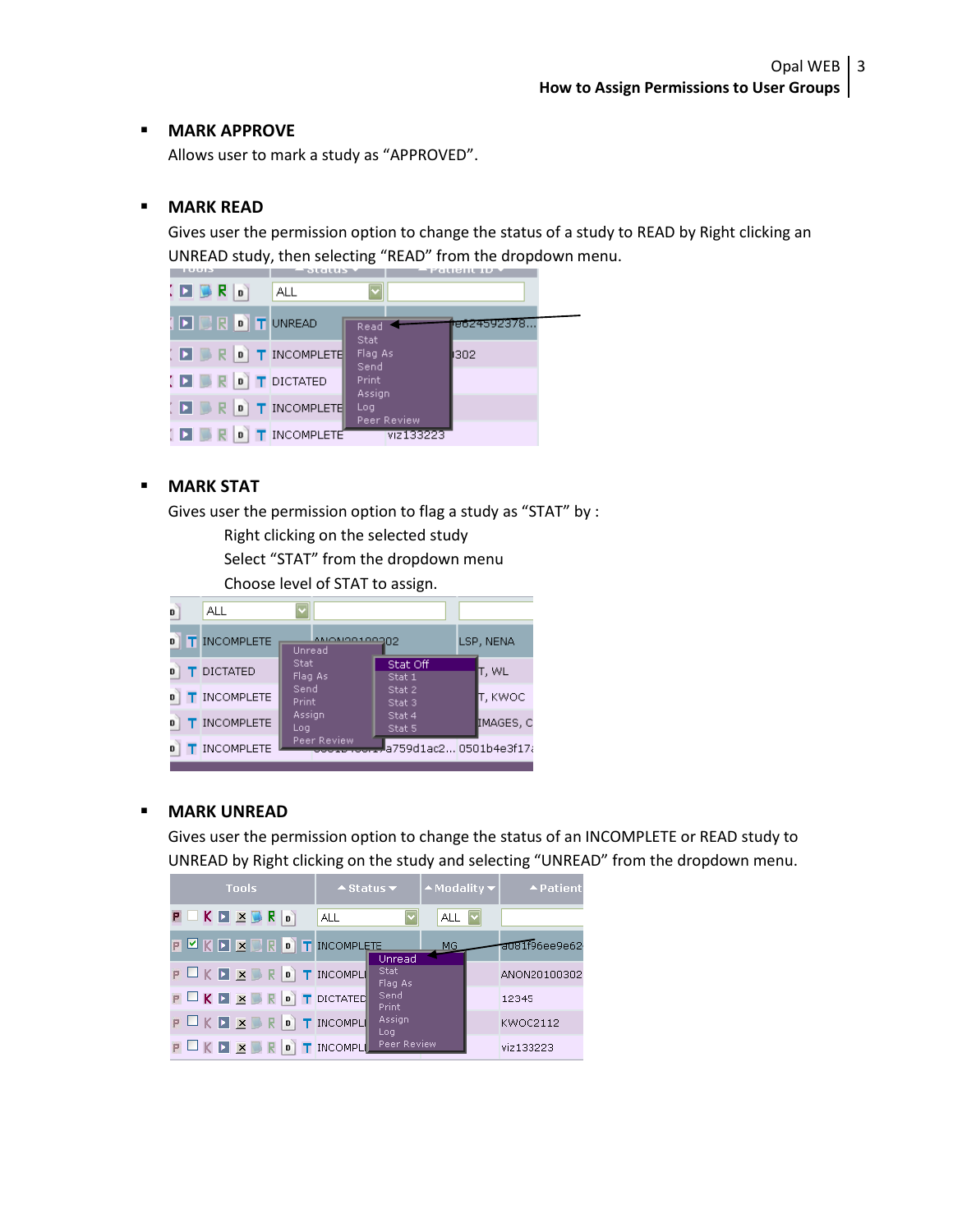#### **MARK APPROVE**

Allows user to mark a study as "APPROVED".

#### **MARK READ**

Gives user the permission option to change the status of a study to READ by Right clicking an UNREAD study, then selecting "READ" from the dropdown menu.



## **MARK STAT**

Gives user the permission option to flag a study as "STAT" by :

Right clicking on the selected study

Select "STAT" from the dropdown menu

Choose level of STAT to assign.



#### **MARK UNREAD**

Gives user the permission option to change the status of an INCOMPLETE or READ study to UNREAD by Right clicking on the study and selecting "UNREAD" from the dropdown menu.

| <b>Tools</b>                                          | $\triangle$ Status $\blacktriangledown$ | $\blacktriangle$ Modality $\blacktriangledown$ | ▲ Patient      |
|-------------------------------------------------------|-----------------------------------------|------------------------------------------------|----------------|
| $P$ $K$ $\Sigma$ $\times$ $R$ $\circ$                 | <b>ALL</b>                              | ALL $ v $                                      |                |
| <b>P E K D E B R 0 T INCOMPLETE</b>                   | Unread                                  | MG.                                            | a081f96ee9e62· |
| <b>POKDZBROTINCOMPLI</b>                              | Stat:<br>Flag As                        |                                                | ANON20100302   |
| P K E X B R O T DICTATED                              | Send<br>Print.                          |                                                | 12345          |
| $P \square K \square \times P \square R$   T INCOMPLE | Assign<br>Log.                          |                                                | KWOC2112       |
| P K E X B R O T INCOMPL                               | Peer Review                             |                                                | viz133223      |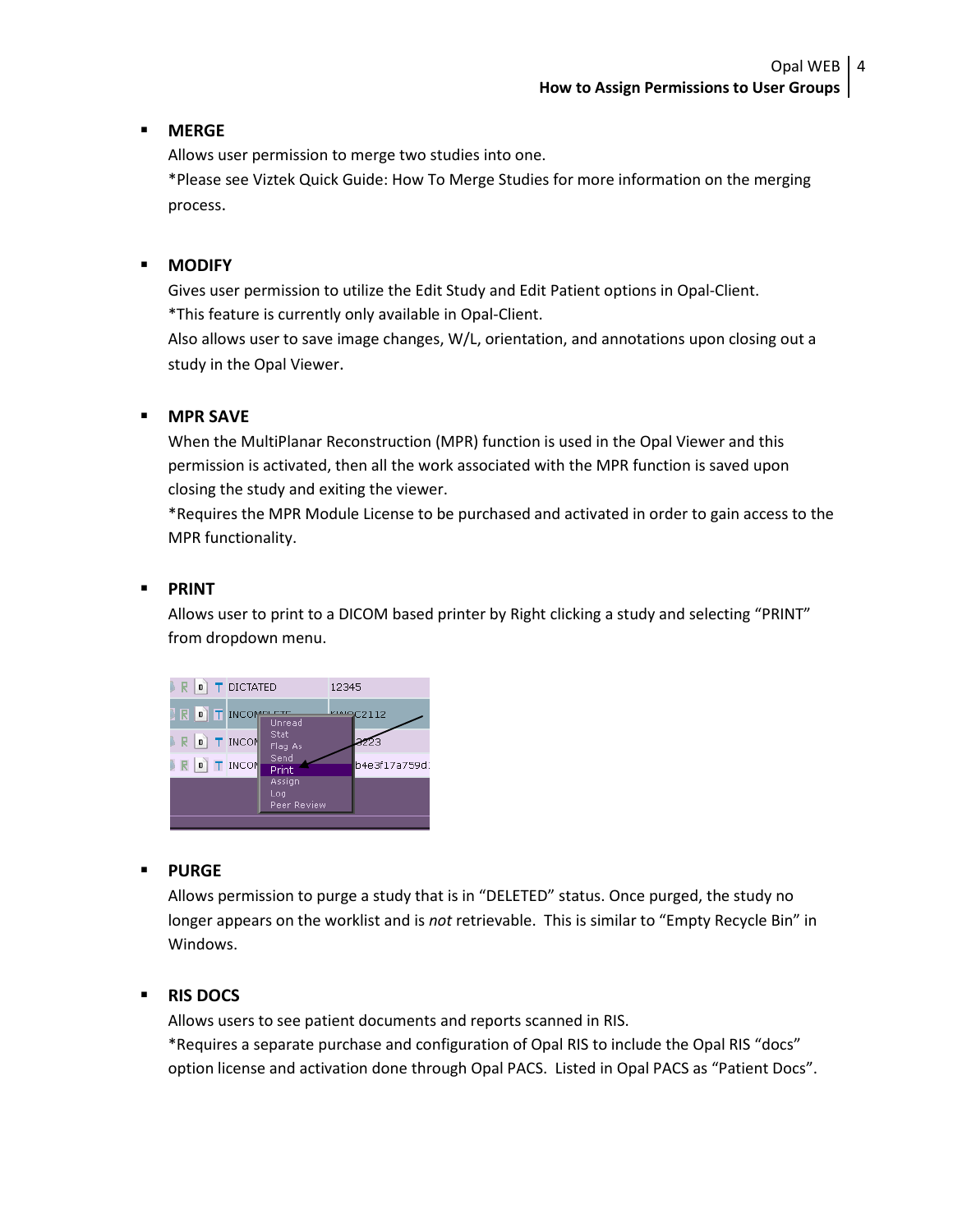## **MERGE**

Allows user permission to merge two studies into one.

\*Please see Viztek Quick Guide: How To Merge Studies for more information on the merging process.

# **MODIFY**

Gives user permission to utilize the Edit Study and Edit Patient options in Opal-Client. \*This feature is currently only available in Opal-Client.

Also allows user to save image changes, W/L, orientation, and annotations upon closing out a study in the Opal Viewer.

# **MPR SAVE**

When the MultiPlanar Reconstruction (MPR) function is used in the Opal Viewer and this permission is activated, then all the work associated with the MPR function is saved upon closing the study and exiting the viewer.

\*Requires the MPR Module License to be purchased and activated in order to gain access to the MPR functionality.

# **PRINT**

Allows user to print to a DICOM based printer by Right clicking a study and selecting "PRINT" from dropdown menu.



## **PURGE**

Allows permission to purge a study that is in "DELETED" status. Once purged, the study no longer appears on the worklist and is *not* retrievable. This is similar to "Empty Recycle Bin" in Windows.

# **RIS DOCS**

Allows users to see patient documents and reports scanned in RIS.

\*Requires a separate purchase and configuration of Opal RIS to include the Opal RIS "docs" option license and activation done through Opal PACS. Listed in Opal PACS as "Patient Docs".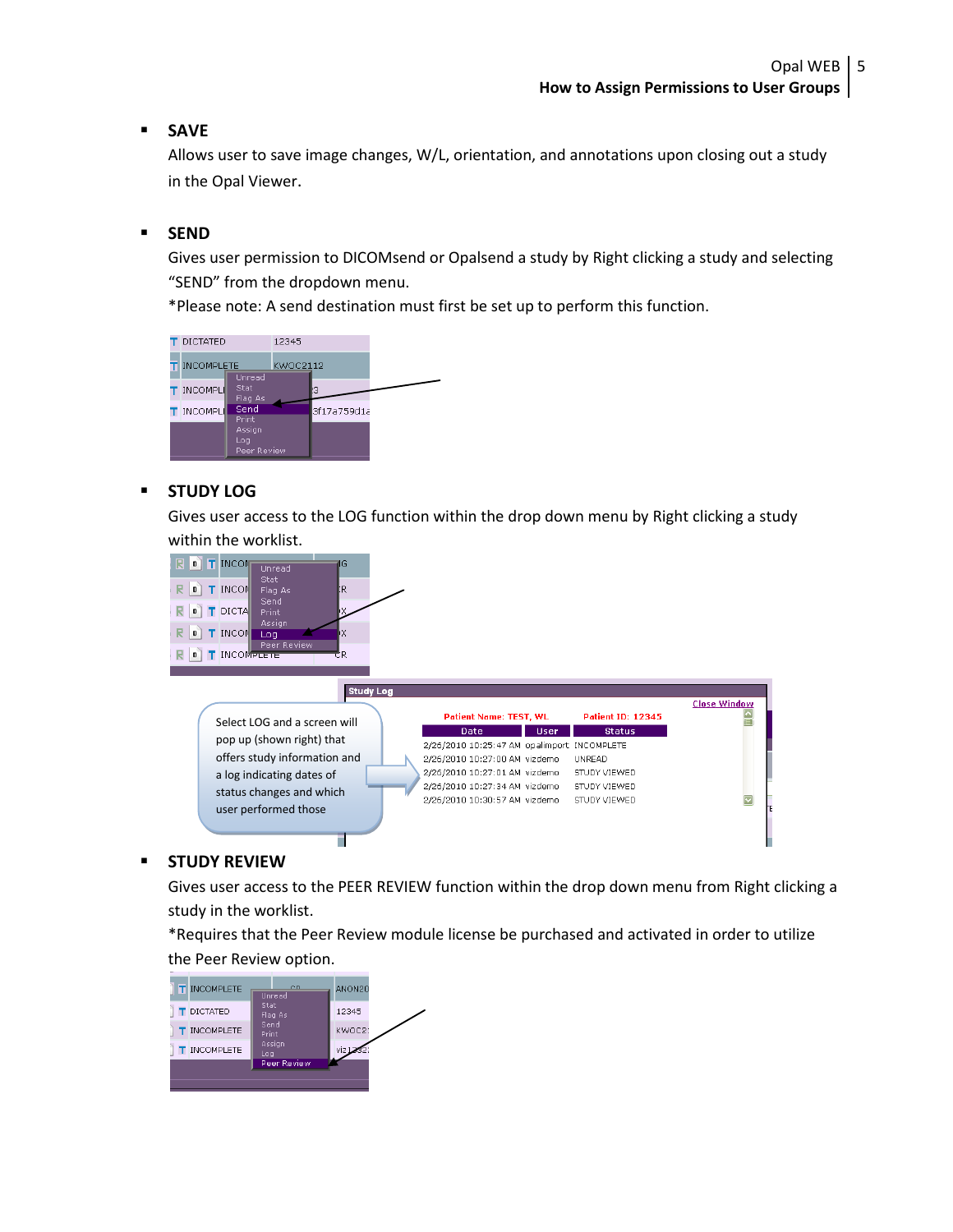## **SAVE**

Allows user to save image changes, W/L, orientation, and annotations upon closing out a study in the Opal Viewer.

#### **SEND**

Gives user permission to DICOMsend or Opalsend a study by Right clicking a study and selecting "SEND" from the dropdown menu.

\*Please note: A send destination must first be set up to perform this function.



#### **STUDY LOG**

Gives user access to the LOG function within the drop down menu by Right clicking a study within the worklist.



#### **STUDY REVIEW**

Gives user access to the PEER REVIEW function within the drop down menu from Right clicking a study in the worklist.

\*Requires that the Peer Review module license be purchased and activated in order to utilize the Peer Review option.

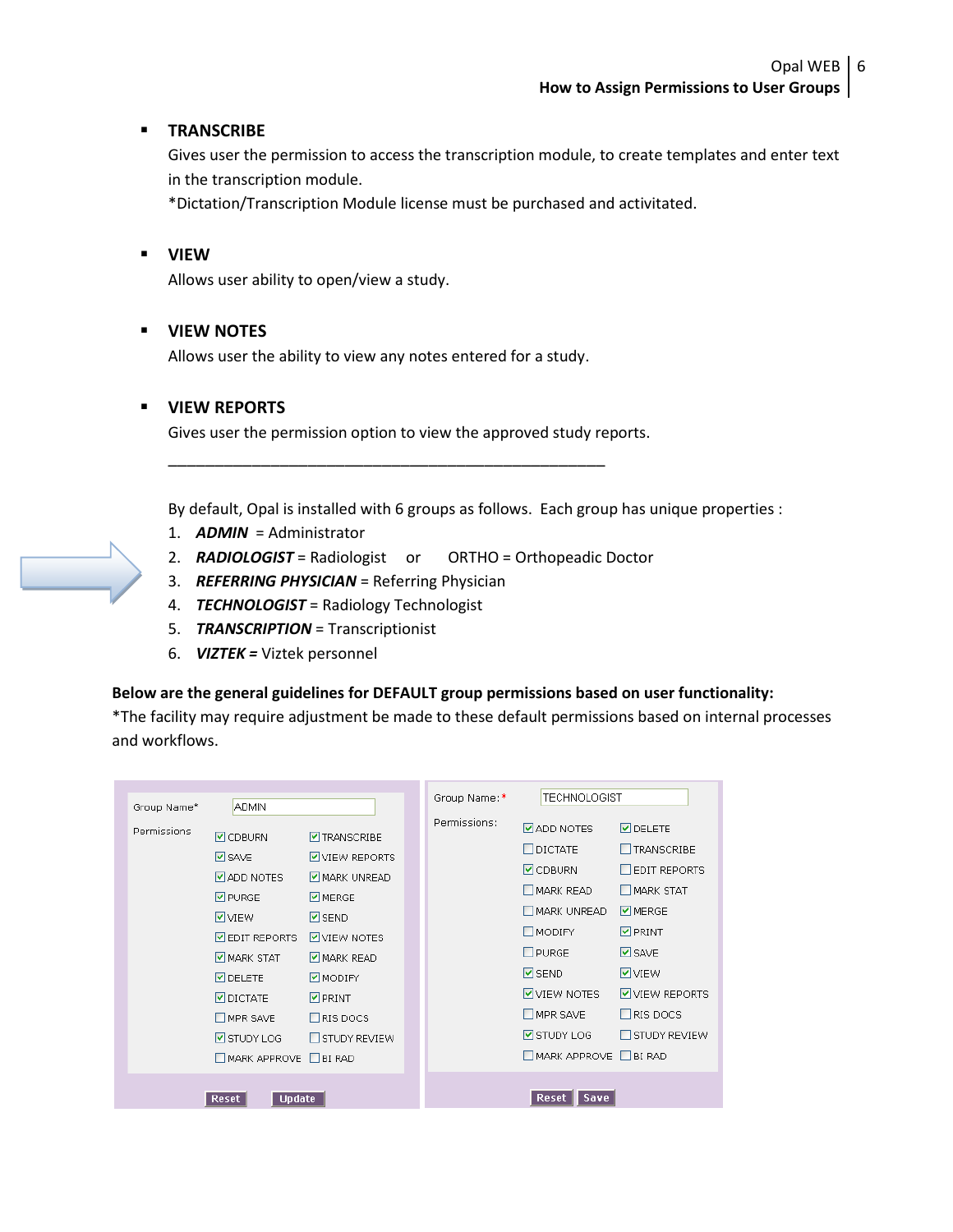## **TRANSCRIBE**

Gives user the permission to access the transcription module, to create templates and enter text in the transcription module.

\*Dictation/Transcription Module license must be purchased and activitated.

## **VIEW**

Allows user ability to open/view a study.

## **VIEW NOTES**

Allows user the ability to view any notes entered for a study.

## **VIEW REPORTS**

Gives user the permission option to view the approved study reports.

By default, Opal is installed with 6 groups as follows. Each group has unique properties :

- 1. *ADMIN* = Administrator
- 2. *RADIOLOGIST* = Radiologist or ORTHO = Orthopeadic Doctor
- 3. *REFERRING PHYSICIAN* = Referring Physician
- 4. *TECHNOLOGIST* = Radiology Technologist
- 5. *TRANSCRIPTION* = Transcriptionist
- 6. *VIZTEK =* Viztek personnel

#### **Below are the general guidelines for DEFAULT group permissions based on user functionality:**

\*The facility may require adjustment be made to these default permissions based on internal processes and workflows.

| Group Name*            | <b>ADMIN</b>                                                                                                                                                                                                           |                                                                                                                                                                                                             | Group Name:* |              | TECHNOLOGIST                                                                                                                                                                                                                     |                                                                                                                                                                                   |
|------------------------|------------------------------------------------------------------------------------------------------------------------------------------------------------------------------------------------------------------------|-------------------------------------------------------------------------------------------------------------------------------------------------------------------------------------------------------------|--------------|--------------|----------------------------------------------------------------------------------------------------------------------------------------------------------------------------------------------------------------------------------|-----------------------------------------------------------------------------------------------------------------------------------------------------------------------------------|
| Permissions            | <b>▽</b> CDBURN<br><b>▽</b> SAVE<br><b>Ø</b> ADD NOTES<br>$\nabla$ PURGE<br><b>V</b> VIEW<br><b>☑</b> EDIT REPORTS<br>MARK STAT<br><b>VIDELETE</b><br><b>DICTATE</b><br>MPR SAVE<br><b>Ø</b> STUDY LOG<br>MARK APPROVE | <b>V</b> TRANSCRIBE<br>VIEW REPORTS<br>MARK UNREAD<br>M MERGE<br>$\nabla$ SEND<br>VIEW NOTES<br>$\nabla$ MARK READ<br><b>Ø</b> MODIFY<br>$\nabla$ PRINT<br>$\Box$ RIS DOCS<br>STUDY REVIEW<br>$\Box$ BI RAD |              | Permissions: | <b>⊽</b> ADD NOTES<br>$\Box$ dictate<br>$\triangleright$ CDBURN<br>MARK READ<br>MARK UNREAD<br>$\square$ MODIFY<br>$\Box$ PURGE<br>$\nabla$ SEND<br>VIEW NOTES<br>$\square$ MPR SAVE<br><b>Ø</b> STUDY LOG<br>MARK APPROVE BIRAD | <b>DELETE</b><br>TRANSCRIBE<br><b>EDIT REPORTS</b><br>MARK STAT<br><b>Ø</b> MERGE<br>$\nabla$ PRINT<br><b>⊽</b> SAVE<br>V VIEW<br>VIEW REPORTS<br>$\Box$ RIS DOCS<br>STUDY REVIEW |
| <b>Update</b><br>Reset |                                                                                                                                                                                                                        |                                                                                                                                                                                                             |              |              | <b>Reset</b><br><b>Save</b>                                                                                                                                                                                                      |                                                                                                                                                                                   |